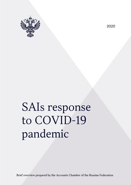

2020

# SAIs response to COVID-19 pandemic

Brief overview prepared by the Accounts Chamber of the Russian Federation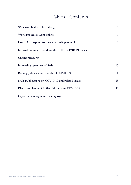## Table of Contents

| SAIs switched to teleworking                         | 3              |
|------------------------------------------------------|----------------|
| Work processes went online                           | $\overline{4}$ |
| How SAIs respond to the COVID-19 pandemic            | 5              |
| Internal documents and audits on the COVID-19 issues | 6              |
| <b>Urgent measures</b>                               | 10             |
| Increasing openness of SAIs                          | 13             |
| Raising public awareness about COVID-19              | 14             |
| SAIs' publications on COVID-19 and related issues    | 15             |
| Direct involvement in the fight against COVID-19     | 17             |
| Capacity development for employees                   | 18             |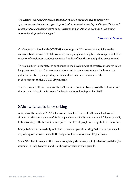"To ensure value and benefits, SAIs and INTOSAI need to be able to apply new approaches and take advantage of opportunities to meet emerging challenges. SAIs need to respond to a changing world of governance and, in doing so, respond to emerging national and global challenges."

#### [Moscow Declaration](https://www.intosai.org/fileadmin/downloads/news_centre/events/congress/accords_declarations/EN_23_Moscow_Decl_300919.pdf)

Challenges associated with COVID-19 encourage the SAIs to respond quickly to the current situation: switch to telework, vigorously implement digital technologies, build the capacity of employees, conduct specialized audits of healthcare and public procurement.

To be a partner to the state, to contribute to the development of effective measures taken by governments, to make recommendations and in some cases to ease the burden on public authorities by suspending certain audits: these are the main trends in the response to the COVID-19 pandemic.

<span id="page-2-0"></span>This overview of the activities of the SAIs in different countries proves the relevance of the ten principles of the Moscow Declaration adopted in September 2019.

#### SAIs switched to teleworking

Analysis of the work of 76 SAIs (sources: official web sites of SAIs, social networks) shows that the vast majority of SAIs (approximately 70%) have switched fully or partially to teleworking with the minimum required number of people working shifts in the office.

Many SAIs have successfully switched to remote operation using their past experience in organizing work processes with the help of online solutions and IT-platforms.

Some SAIs had to suspend their work completely (for example, in Jordan) or partially (for example, in Italy, Denmark and Honduras) for various time periods.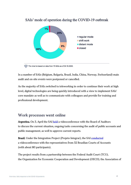#### SAIs' mode of operation during the COVID-19 outbreak



The chart is based on data from 75 SAIs as of 04.16.2020.

In a number of SAIs (Belgium, Bulgaria, Brazil, India, China, Norway, Switzerland) main audit and on-site events were postponed or cancelled.

As the majority of SAIs switched to teleworking in order to continue their work at high level, digital technologies are being quickly introduced with a view to implement SAIs' core mandate as well as to communicate with colleagues and provide for training and professional development.

#### <span id="page-3-0"></span>Work processes went online

Argentina. On 3, April the SAI [held](http://www.agn.gob.ar/temarios/temario) a videoconference with the Board of Auditors to discuss the current situation, ongoing tasks concerning the audit of public accounts and public management, as well to approve current reports.

Brazil. Under the Integration Project (Projeto Integrar), the SAI [conducted](https://portal.tcu.gov.br/imprensa/noticias/projeto-integrar-realiza-reuniao-geral-remota-com-32-tribunais-de-contas-do-pais.htm) a videoconference with the representatives from 32 Brazilian Courts of Accounts (with about 80 participants).

The project results from a partnership between the Federal Audit Court (TCU), the Organization for Economic Cooperation and Development (OECD), the Association of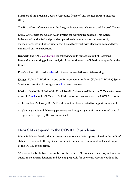Members of the Brazilian Courts of Accounts (Atricon) and the Rui Barbosa Institute (IRB).

The first videoconference under the Integrar Project was held using the Microsoft Teams.

China. CNAO uses the Golden Audit Project for working from home. This system is developed by the SAI and provides operational communication between staff, videoconferences and other functions. The auditors work with electronic data and have minimized on-site inspections.

Denmark. The SAI is [conducting](https://www.rigsrevisionen.dk/nyheder/2020/marts/anmodninger-fra-statsrevisorerne/) the following audits remotely: audit of PostNord Denmark's accounting policies; analysis of the consideration of inheritance appeals by the Court.

Ecuador. The SAI issued a [video](https://www.contraloria.gob.ec/CentralMedios/SalaPrensa/23813) with the recommendations on teleworking.

Estonia. EUROSAI Working Group on Environmental Auditing (EUROSAI WGEA) Spring Session on Sustainable Energy was [held](https://www.eurosaiwgea.org/meetings/Pages/Spring-Session-on-Sustainable-Energy.aspx) as an e-Seminar.

Mexico. Head of SAI Mexico Mr. David Rogelio Colmenares-Páramo in El Financiero issue of April 1<sup>st</sup> [told](https://elfinanciero.com.mx/opinion/david-colmenares-paramo/ante-la-crisis-oportunidad-de-cambio) about SAI Mexico (ASF) digitalization process given the COVID-19 crisis.

- Inspection Mailbox (el Buzón Fiscalizador) has been created to support remote audits;
- <span id="page-4-0"></span>- planning, audit and follow-up processes are brought together in an integrated control system developed by the institution itself.

## How SAIs respond to the COVID-19 pandemic

Many SAIs have decided that it is necessary to review their reports related to the audit of state activities due to the significant economic, industrial, commercial and social impact of the COVID-19 pandemic.

SAIs are actively studying the context of the COVID-19 pandemic, they carry out relevant audits, make urgent decisions and develop proposals for economic recovery both at the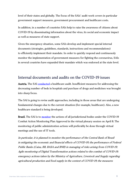level of their states and globally. The focus of the SAIs' audit work covers in particular government support measures, government procurement and healthcare costs.

In addition, in a number of countries SAIs help to raise the awareness of citizens about COVID-19 by disseminating information about the virus, its social and economic impact as well as measures of state support.

Given the emergency situation, some SAIs develop and implement special internal documents (strategies, guidelines, standards, instructions and recommendations) to efficiently implement their mandate. In order to quickly respond and continuously monitor the implementation of government measures for fighting the coronavirus, SAIs in several countries have expanded their mandate which was endorsed at the state level.

#### <span id="page-5-0"></span>Internal documents and audits on the COVID-19 issues

Austria. The SAI [conducted](https://www.rechnungshof.gv.at/rh/home/home_6/Gesundheit__Pflege.html) a healthcare audit. Insufficient measures for addressing the decreasing number of beds in hospitals and purchase of drugs and medicines was brought into sharp focus.

The SAI is going to revise audit approaches, including in those areas that are undergoing fundamental changes due to the current situation (for example, healthcare). Also, a new healthcare standard is being developed.

Brazil. The SAI is to [monitor](https://portal.tcu.gov.br/imprensa/noticias/tcu-vai-acompanhar-acoes-dos-orgaos-jurisdicionados-que-atuam-no-combate-a-covid-19.htm) the actions of all jurisdictional bodies under the COVID-19 Combat Action Monitoring Plan Approved in the virtual plenary session on April 8. The monitoring of public administration actions will preferably be done through virtual meetings and the use of IT tools.

In particular, it is planned to monitor the performance of the Central Bank of Brazil in mitigating the economic and financial effects of COVID-19; the performance of Federal Public Banks (Caixa, BB, BASA and BNB) in managing of risks arising from COVID-19; Agile monitoring of Digital Transformation actions related to the combat of COVID-19; emergency actions taken by the Ministry of Agriculture, Livestock and Supply regarding agricultural production and food supply in the context of COVID-19; the measures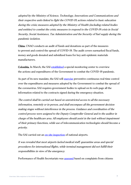adopted by the Ministry of Science, Technology, Innovations and Communications and their respective units linked to fight the COVID-19; actions related to basic education during the crisis; measures adopted by the Ministry of Health (including related bodies and entities) to combat the crisis; measures to respond to the COVID-19 crisis in Social Security, Social Assistance, Tax Administration and the Security of fuel supply during the pandemic isolation.

China. CNAO conducts an audit of funds and donations as part of the measures to prevent and control the spread of COVID-19. The audit covers earmarked fiscal funds, money and goods donated and subsidized loans for key anti-epidemic materials manufacturers.

Colombia. In March, the SAI [established](https://twitter.com/CGR_Colombia/status/1240455309325451265?s=20) a special monitoring center to overview the actions and expenditures of the Government to combat the COVID-19 pandemic.

As part of its new mandate, the SAI will [exercise](https://www.contraloria.gov.co/contraloria/sala-de-prensa/boletines-de-prensa/boletines-de-prensa-2020/-/asset_publisher/9IOzepbPkrRW/content/aplicando-el-control-concomitante-y-preventivo-contraloria-empezo-a-vigilar-en-tiempo-real-medidas-de-emergencia-economica-y-social-para-contener-covi?inheritRedirect=false&redirect=) preventive continuous real-time control over the expenditures and measures adopted by the Government to combat the spread of the coronavirus. SAI requires government bodies to upload on its web-page all the information related to the contracts signed during the emergency situation.

The control shall be carried out based on unrestricted access to all the necessary information, remotely or in-person, and shall encompass all the government decision making stages without interference in the process. Guidance and coordination of the control process were assigned to the Deputy Comptroller General and to the auditor in charge of the healthcare area. All employees should assist in the task without impairment of their primary functions, while use of telecommunication technologies should become a priority.

The SAI carried out an [on-site inspection](https://www.contraloria.gov.co/contraloria/sala-de-prensa/boletines-de-prensa/boletines-de-prensa-2020/-/asset_publisher/9IOzepbPkrRW/content/primeras-conclusiones-de-visitas-de-la-contraloria-93-de-los-aeropuertos-tiene-deficiencias-en-controles-por-el-coronavirus) of national airports.

It was revealed that most airports lacked medical staff, quarantine areas and special procedures for international flights, while terminal management did not fulfill their responsibilities in view of the emergency.

Performance of Health Secretariats was [assessed](https://www.contraloria.gov.co/contraloria/sala-de-prensa/boletines-de-prensa/boletines-de-prensa-2020/-/asset_publisher/9IOzepbPkrRW/content/en-medio-de-la-emergencia-secretarias-de-salud-no-estan-siendo-efectivas-en-la-recogida-embalaje-y-envio-de-las-pruebas-diagnosticas-del-covid-19) based on complaints from citizens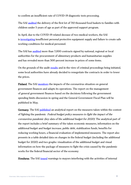to confirm an insufficient rate of COVID-19 diagnostic tests processing.

The SAI [audited](https://twitter.com/CGR_Colombia/status/1243325992711708673?s=20) the delivery of the first lot of 710 thousand food baskets to families with children under 5 years of age as part of the approved support program.

In April, due to the COVID-19 related decease of two medical workers, the SAI is [investigating](https://www.contraloria.gov.co/contraloria/sala-de-prensa/boletines-de-prensa/boletines-de-prensa-2020/-/asset_publisher/9IOzepbPkrRW/content/contraloria-llama-la-atencion-por-falta-de-suministro-oportuno-de-elementos-de-proteccion-a-personal-de-la-salud-por-coronavirus?inheritRedirect=false&redirect=https%3A%2F%2Fwww.contraloria.gov.co%3A443%2Fcontraloria%2Fsala-de-prensa%2Fboletines-de-prensa%2Fboletines-de-prensa-2020%3Fp_p_id%3D101_INSTANCE_9IOzepbPkrRW%26p_p_lifecycle%3D0%26p_p_state%3Dnormal%26p_p_mode%3Dview%26p_p_col_id%3D_118_INSTANCE_UixrmF0fHuSj__column-1%26p_p_col_pos%3D1%26p_p_col_count%3D2) insufficient personal protective equipment supply and failure to create safe working conditions for medical personnel.

The SAI has [audited](https://noticias.canalrcn.com/nacional/temblor-de-magnitud-43-sacudio-al-departamento-de-bolivar-355549) more than 7,000 contracts signed by national, regional or local authorities for the procurement of alimentary products and humanitarian supplies and has revealed more than 300 percent increase in prices of some items.

On the grounds of the audit [results](https://twitter.com/CGR_Colombia/status/1250811703861956609?s=20) and in the view of criminal proceedings being initiated, some local authorities have already decided to renegotiate the contracts in order to lower the prices.

Finland. The SAI [monitors](https://www.vtv.fi/tiedotteet/vtv-seuraa-koronavirustilanteen-vaikutuksia-julkiseen-talouteen-ja-mukauttaa-toimintaansa/) the impacts of the coronavirus situation on general government finances and adapts its operations. The report on the management of general government finances based on the decisions following the government spending limits discussion in spring and the General Government Fiscal Plan will be published in May.

Germany. The SAI [published](https://www.bundesrechnungshof.de/de/veroeffentlichungen/haushaltspolitische-massnahmen-zur-bekaempfung-der-auswirkungen-der-corona-pandemie-eckdaten-nach-tragshaushalt-2020) an analytical report on the measures taken within the context of fighting the pandemic Federal budget policy measures to fight the impact of the coronavirus pandemic (key data of the additional budget for 2020). The analytical part of the report includes a brief summary of the taken economic measures, information on the additional budget and budget increase, public debt, stabilization funds, benefits for reducing working hours, a financial evaluation of implemented measures. The report also presents in a table detailed data on changes in the federal budget (including the additional budget for 2020) and two graphs: visualization of the additional budget and visual information on how the package of measures to fight the crisis caused by the pandemic works for the federal financial sector of the economy

Honduras. The SAI [issued](https://twitter.com/TSCHonduras/status/1250117381491503111?s=20) warnings to mayors interfering with the activities of internal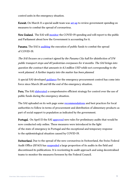control units in the emergency situation.

Kuwait. On March 11 a special audit team was [set up](https://twitter.com/sab_kuwait/status/1240519739581124608?s=20) to review government spending on measures to combat the spread of coronavirus.

New Zealand. The SAI will [monitor](https://oag.parliament.nz/media/2020/controller-april) the COVID-19 spending and will report to the public and Parliament about how the Government is accounting for it.

Panama. The SAI is [auditing](https://www.prensa.com/sociedad/contraloria-sobre-acuerdo-que-avalo-el-alcalde-fabrega-para-limpiar-paradas-no-es-un-precio-razonable/) the execution of public funds to combat the spread of COVID-19.

The SAI focuses on a contract signed by the Panama City hall for disinfection of 574 public transport stops and 40 pedestrian overpasses for 4 months. The SAI brings into question the contract that amounts to 6.1 million USD while not corresponding to the work planned. A further inquiry into the matter has been planned.

A special SAI-developed [guidance](https://twitter.com/ContraloriaPma/status/1244719994711277569?s=20) for the emergency procurement control has come into force since March 28 and till the end of the emergency situation.

Peru. The SAI [elaborated](https://twitter.com/ContraloriaPeru/status/1242517296570159104?s=20) a comprehensive efficient strategy for control over the use of public funds during the emergency situation.

The SAI uploaded on its web page some [recommendations](http://doc.contraloria.gob.pe/PortalCGR_Recursos/Comunicados/Recomendaciones_GL_Emerg_31032020.pdf) and best practices for local authorities to follow in terms of procurement and distribution of alimentary products as part of social support to population as indicated by the government.

Portugal. On April 15 the SAI [approved](https://www.tcontas.pt/pt-pt/NormasOrientacoes/Resolucoes/Documents/2020/res01-2020-1s.pdf) new rules for preliminary audits that would be now conducted only online. These measures were introduced in the light of the state of emergency in Portugal and the exceptional and temporary response to the epidemiological situation caused by COVID-19.

Switzerland. Due to the spread of the new coronavirus in Switzerland, the Swiss Federal Audit Office (SFAO) has [suspended](https://www.efk.admin.ch/en/publications/general-communication/press-releases/3788-swiss) a large proportion of its audits in the field and discontinued its publications. It is reorienting its audit approach and using decentralised teams to monitor the measures foreseen by the Federal Council.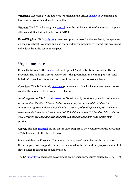Venezuela. According to the SAI's order regional audit offices [check out](https://twitter.com/CEBMerida/status/1240652162042155015?s=20) overpricing of basic-needs products and medical supplies.

Vietnam. The SAI will strengthen [control](https://www.sav.gov.vn/Pages/chi-tiet-tin.aspx?ItemID=37584&l=TinTucSuKien) over the implementation of measures to support citizens in difficult situation due to COVID-19.

United Kingdom. NAO [analyzes](https://www.nao.org.uk/about-us/covid-19-coronavirus/?slide=1) government preparedness for the pandemic, the spending on the direct health response and also the spending on measures to protect businesses and individuals from the economic impact.

#### <span id="page-9-0"></span>Urgent measures

China. On March 23 the [meeting](http://www.audit.gov.cn/n4/n20/n524/c137672/content.html) of the Regional Audit Institution was held in Hubei Province. The auditors were tasked to assist the government in order to prevent "total isolation", as well as conduct a special audit to prevent and control epidemics.

Costa Rica. The SAI urgently [approved](https://delfino.cr/2020/03/contraloria-autoriza-compra-de-emergencia-de-88-ventiladores-pulmonares-para-la-ccss) procurement of medical equipment necessary to combat the spread of the coronavirus infection.

In this regard the SAI ha[s authorized](https://www.presidencia.go.cr/comunicados/2020/03/ccss-autorizada-a-comprar-mas-equipamiento-para-hacer-frente-al-covid-19-por-monto-que-supera-2-millones-de-dolares/) the Social security fund to buy medical equipment for more than 2 million USD, including video laryngoscopes, mobile vital factors monitors, irrigators and a cooling chamber. As per April 9, 13 approved procurements have been disclosed for a total amount of 21.3 billion colones (37.3 million USD), almost 93% of which are equally distributed between medical equipment and alimentary products.

Cyprus. The SAI [analyzed](https://www.pio.gov.cy/%CE%B1%CE%BD%CE%B1%CE%BA%CE%BF%CE%B9%CE%BD%CF%89%CE%B8%CE%AD%CE%BD%CF%84%CE%B1-%CE%AC%CF%81%CE%B8%CF%81%CE%BF.html?id=13151#flat) the bill on the state support to the economy and the allocation of 2 billion euros in the form of loans.

It is noted that the European Commission has approved several other forms of state aid (for example, direct support) that are not included in the bill, and the proposed amount of state aid needs additional documentation.

The SAI [monitors](https://www.pio.gov.cy/%CE%B1%CE%BD%CE%B1%CE%BA%CE%BF%CE%B9%CE%BD%CF%89%CE%B8%CE%AD%CE%BD%CF%84%CE%B1-%CE%AC%CF%81%CE%B8%CF%81%CE%BF.html?id=13193#flat) accelerated government procurement procedures caused by COVID-19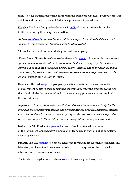crisis. The department responsible for monitoring public procurements promptly provides opinions and comments on simplified public procurement procedures.

Ecuador. The State Comptroller General will [audit](https://www.contraloria.gob.ec/CentralMedios/SalaPrensa/23826) all contracts signed by public institutions during the emergency situation.

SAI ha[s established](https://www.contraloria.gob.ec/CentralMedios/SalaPrensa/23824) irregularities in acquisition and purchase of medical devices and supplies by the Ecuadorian Social Security Institute (IESS).

SAI audits the use of resources during the health emergency.

Since March, 27<sup>h</sup>, the State Comptroller General has <u>issued</u> 22 work orders to carry out special examinations of contract to address the healthcare emergency. The audits are carried out both in the Ecuadorian Social Security Institute and in the hospitals that it administers, in provincial and cantonal decentralized autonomous governments and in hospital units of the Ministry of Health.

Honduras. The SAI [assigned](https://twitter.com/TSCHonduras/status/1242952670077431814?s=20) a group of specialists to assist internal control units of government bodies in their concurrent control tasks. After the emergency, the SAI shall obtain all the documents related to the emergency procurements and audit all the expenditures.

In particular, it was said to make sure that the allocated funds were used only for the procurement of alimentary, medical and personal hygiene products. Municipal internal control units should arrange documentary support for the procurements and provide the documentation to the SAI department in charge of the municipal sector audit.

Besides, the SAI President [supervised](https://twitter.com/TSCHonduras/status/1250248008274522113?s=20) a team of auditors to evaluate the work of the Permanent Contingency Commission of Honduras in view of public complaints over irregularities.

Panama. The SAI [established](https://twitter.com/ContraloriaPma/status/1240386906359238659?s=20) a special task force for urgent procurements of medical and laboratory equipment and medicines in order to curb the spread of the coronavirus infection and in case of emergencies.

The Ministry of Agriculture has been [assisted](https://twitter.com/ecotvpanama/status/1243915758071099394?s=20) in ensuring the transparency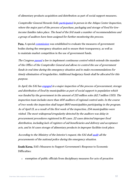of alimentary products acquisition and distribution as part of social support measures.

Comptroller General Herardo Soli[s participated](https://twitter.com/ContraloriaPma/status/1247547609130115072?s=20) in person in the Atlapa Center Inspection, where the major part of the process of purchase, packaging and storage of food for lowincome families takes place. The head of the SAI made a number of recommendations and a group of auditors have been assigned for further monitoring the process.

Peru. A special [commission](https://twitter.com/ContraloriaPeru/status/1242183155714609153?s=20) was established to evaluate the measures of government bodies during the emergency situation and to ensure their transparency, as well as to maintain market competition in the use of government funds.

The Congress **passed** a law to implement continuous control which extends the mandate of the Office of the Comptroller General and allows to control the use of government funds in real time during the emergency situation and to make recommendations for timely elimination of irregularities. Additional budgetary funds shall be allocated for this purpose.

In April, the SAI has *engaged* in a major inspection of the process of procurement, storage and distribution of food by municipalities as part of social support to population which was funded by the government in the amount of 213 million soles (62.7 million USD). The inspection team includes more than 400 auditors of regional control units. In the course of two weeks the inspection shall target 1800 municipalities participating in the program. As of April 13, as a result of the first week of the inspection, 254 municipalities were visited. The most widespread irregularity detected by the auditors was delay in procurement procedures registered in 85 cases. 22 cases detected improper food distribution, including lack of registers of aid beneficiaries and delivery and acceptance acts, and in 14 cases storage of alimentary products in improper facilities took place.

According to the Ministry of the Interior's request, the SAI shal[l audit](https://www.gob.pe/institucion/mininter/noticias/112314-a-pedido-del-ministerio-del-interior-contraloria-auditara-todas-las-compras-realizadas-por-la-pnp) all the procurements of the national police during the emergency situation.

South Korea. SAI's Measures to Support Government's Response to Economic Difficulties:

o exemption of public officials from disciplinary measures for acts of proactive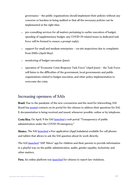governance – the public organizations should implement their policies without any concerns or burdens in being audited so that all the necessary policies can be implemented at the right time.

- o pre-consulting services for all matters pertaining to earlier execution of budget, spending of supplementary budget, any COVID-19 related issues (a dedicated task force will be formed to ensure a prompt reply).
- $\circ$  support for small and medium enterprises on-site inspections due to complaints from SMEs (April-May).
- o monitoring of budget execution (June).
- o operation of "Economic Crisis Response Task Force" (April-June) the Task Force will listen to the difficulties of the government, local governments and public organizations related to budget execution, and other policy implementation to overcome the crisis.

#### <span id="page-12-0"></span>Increasing openness of SAIs

Brazil. Due to the pandemic of the new coronavirus and the need for teleworking, SAI Brazil has [posted](https://portal.tcu.gov.br/imprensa/noticias/covid-19-veja-como-falar-com-o-tribunal-de-contas-da-uniao-no-periodo-de-isolamento-social.htm) contacts on its portal for the citizens to address their questions for SAI. E-documentation is being received and issued, whenever possible, online or by telephone.

Costa Rica. On April, 9 the SAI [launched](https://sites.google.com/cgr.go.cr/covid-19/p%C3%A1gina-principal) a web portal "Transparency of public administration under the COVID-19 emergency."

Mexico. The SAI [launched](https://twitter.com/ASF_Mexico/status/1245049289438457857) a free application (AppCiudadana) available for cell phones and tablets that allows to ask the SAI question about its work directly.

The SAI [launched](https://twitter.com/ASF_Mexico/status/1245082221637251072) "ASF Niños" app for children and their parents to provide information in a playful way on the public administration, audits, gender equality, inclusivity and other matters.

Peru. An online platform was [launched](https://twitter.com/ContraloriaPeru/status/1239896393873010690?s=20) for citizens to report law violations.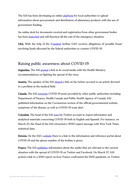The SAI has been developing an online [platform](https://www.gob.pe/institucion/munijepelacio/noticias/111834-covid-19-a-partir-de-hoy-alcaldes-deben-registrar-en-linea-compra-y-entrega-de-canastas-basicas-para-beneficiarios) for local authorities to upload information about procurement and distribution of alimentary products with the use of government funding.

An online desk for documents receival and registration from other government bodies has been [launched](http://doc.contraloria.gob.pe/PortalCGR_Recursos/Comunicados/Recomendaciones_GL_Emerg_31032020.pdf) and will function till the end of the emergency situation.

<span id="page-13-0"></span>USA. With the help of the [Fraudnet](https://www.gao.gov/about/what-gao-does/fraudnet/) hotline GAO receives allegations of possible fraud involving funds allocated by the federal authorities to counter COVID-19.

#### Raising public awareness about COVID-19

Argentina. The SAI [posted](https://twitter.com/auditoriaagn) a link in its social media with the Health Ministry recommendations on fighting the spread of the virus.

Austria. The speaker of the SAI [shared](https://www.rechnungshof.gv.at/rh/home/home_6/Gesundheit__Pflege.html) a link on his twitter account to an article devoted to a problem in the medical field.

Canada. The SAI [retweets](https://twitter.com/OAG_BVG/) COVID-19 posts provided by other public authorities including Department of Finance, Health Canada and Public Health Agency of Canada. SAI published information on the Coronavirus section of the official governmental website, symptoms of the disease, as well as COVID-19 scam alert.

Colombia. The head of the SAI [uses](https://twitter.com/pipecordoba) his Twitter account to repost informative and analytical materials concerning COVID-19 both in English and Spanish. For instance, on March 23, the Head of the SAI retweeted a WHO expert message with New York Times statistical data.

Estonia. On the SAI's [website](https://www.riigikontroll.ee/Avaleht/tabid/36/language/et-EE/Default.aspx) there is a link to the information and reference portal about COVID-19 and the phone number of the hotline is given.

France. The SAI [publishes](https://twitter.com/Courdescomptes) information about the audits that are relevant to the current situation with the spread of COVID-19 on Twitter and Facebook. On March 27, SAI posted a link to a 2010 report on how France confronted the H1N1 pandemic on Twitter.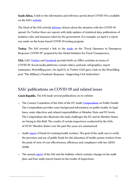South Africa. A link to the information and reference portal about COVID-19 is available on the SAI's [website.](https://www.agsa.co.za/default.aspx)

The Head of the SAI actively [informs](https://twitter.com/AuditorGen_SA) citizens about the situation with the COVID-19 spread. On Twitter there are reposts with daily updates of statistical data, publications of isolation rules and measures taken by the government. For example, on April 1 a repost was made on the home-based COVID-19 testing program.

Turkey. The SAI tweeted a link to the [study](http://www.fiscaltransparency.net/covid19/) on the "Fiscal Openness in Emergency Response: COVID-19" prepared by the Global Initiative for Fiscal Transparency.

USA. GAO [Twitter](https://twitter.com/usgao/) and [Facebook](https://www.facebook.com/usgao) provide briefs on Office activities in terms of COVID-19. Social media platforms contain videos, podcasts, infographics, report summaries, WatchBlog posts. On April 15, in Twitter GAO gave a link on the WatchBlog post "The Military's Pandemic Response—Supporting Civil Authorities".

#### <span id="page-14-0"></span>SAIs' publications on COVID-19 and related issues

Czech Republic. The SAI made several publications on its website:

- o The Contact Committee of the SAIs of the EU Audit [Compendium](https://www.eca.europa.eu/sites/cc/Lists/CCDocuments/Compendium%20public%20health/CC_AUDIT_COMPENDIUM_PUBLIC_HEALTH_EN.pdf) on Public Health. The Compendium provides some background information on public health, its legal bases, main objectives and related responsibilities at Member State and EU levels. The Compendium also illustrates the main challenges the EU and its Member States are facing in this field. The results of certain inspections conducted by the SAIs of 23 EU Member States over the past five years are summarized.
- $\circ$  Audit [report](https://www.nku.cz/cz/pro-media/tiskove-zpravy/nku-proveril-penezni-prostredky-na-vzdelavani-pracovniku-ve-zdravotnictvi-id11126/) of funds for training health workers. The goal of the audit was to verify the provision and use of public funds for the education of health system workers from the point of view of cost-effectiveness, efficiency and compliance with law (2015- 2018).
- $\circ$  The annual [report](https://www.nku.cz/cz/publikace-a-dokumenty/vestnik/vestnik-nku--castka-1-2020-id11139/%20https:/www.nku.cz/cz/publikace-a-dokumenty/vestnik/vestnik-nku--castka-2-2020-id11141/) of the SAI and the bulletin, which contains changes in the audit plan, and four audit reports based on the results of inspections.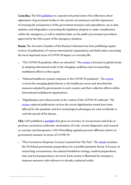Costa Rica. The SAI [published](https://sites.google.com/cgr.go.cr/covid-19/p%C3%A1gina-principal) on a special web portal some of its reflections about adjustment of government bodies to the current circumstances and the importance of ensuring the transparency of the government measures and expenditures, up-to-date statistics and infographics concerning the legislation adopted or under consideration within the emergency, as well as statistical data on the public procurement procedures approved by the SAI as part of the emergency situation.

Russia. The Accounts Chamber of the Russian Federation has been publishing regular reviews of publications of various international organizations and think tanks concerning the most important areas of COVID-19 impact on everyday life:

- $\circ$  "The COVID-19 pandemic effect on education". The [review](http://www.ach.gov.ru/news/kak-koronavirus-menyaet-obrazovanie-globalnye-problemy-i-opyt-drugikh-stran) is focused on global trends in adopting educational needs to the changing conditions and corresponding multilateral efforts in this regard.
- o "National healthcare systems response to the COVID-19 pandemic". The [review](http://www.ach.gov.ru/news/kak-koronavirus-menyaet-zdravookhranenie-mobilizatsiya-vrachey-pomoshch-ot-biznesa-podderzhka-dlya-l) covered the emerging global threats to the healthcare sector and described the measures adopted by governments in each country and their collective efforts within international multilateral organizations.
- o "Digitalization and cybersecurity in the context of the COVID-19 outbreak". The [review](http://www.ach.gov.ru/news/kak-koronavirus-menyaet-rabotu-s-tekhnologiyami-perekhod-na-udalenku-roboty-neyroseti-i-kiberbezopas) explored publications on how the recent digitalization trends have been affected by the pandemic and how technological advantages are used worldwide to curb the spread of the disease.

USA. GAO published a [spotlight](https://www.gao.gov/assets/710/705075.pdf) that gives an overview of coronaviruses and looks at previous coronavirus outbreaks, mechanisms of work, current diagnostics and research on vaccines and therapeutics. GAO WatchBlog regularly presents different articles on government measures in terms of COVID-19.

o "The Coronavirus Response: Lessons Learned from The Past". The [article](https://blog.gao.gov/2020/03/24/the-coronavirus-response-lessons-learned-from-the-past/?utm_source=twitter&utm_medium=social&utm_campaign=blogsm) examines the US federal government preparedness for a possible pandemic threat. It focuses on researching coronaviruses, the national biodefense strategy, medical preparedness, state and local preparedness, air travel. Each section is illustrated by emergency response measures with reference to already conducted audits.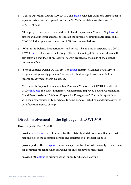- o "Census Operations During COVID-19". The [article](https://blog.gao.gov/2020/04/01/census-operations-during-covid-19/) considers additional steps taken to adjust or extend certain operations for the 2020 Decennial Census because of COVID-19 risks.
- o "How prepared are airports and airlines to handle a pandemic?" WatchBlog [looks](https://blog.gao.gov/2020/03/31/how-prepared-are-airports-and-airlines-to-handle-a-pandemic/) at airport and airline preparedness to contain the spread of communicable diseases like COVID-19: their plans and the status of GAO recommendations.
- o "What is the Defense Production Act, and how is it being used in response to COVID19?" The [article](https://blog.gao.gov/2020/04/07/what-is-the-defense-production-act-and-how-is-it-being-used-in-response-to-covid-19/) deals with the history of the act, including different amendments. It also takes a closer look at presidential powers granted by the parts of the act that remain in effect.
- o "School Lunches During COVID-19". The [article](https://blog.gao.gov/2020/04/08/school-lunches-during-covid-19/) examines Summer Food Service Program that generally provides free meals to children age 18 and under in lowincome areas when schools are closed.
- o "Are Schools Prepared to Respond to a Pandemic?" Before the COVID-19 outbreak GAO [conducted](https://blog.gao.gov/2020/04/02/are-schools-prepared-to-respond-to-a-pandemic/) the audit "Emergency Management: Improved Federal Coordination Could Better Assist K-12 Schools Prepare for Emergencies". The audit report deals with the preparedness of K-12 schools for emergencies, including pandemics, as well as with federal measures of help.

#### <span id="page-16-0"></span>Direct involvement in the fight against COVID-19

#### Czech Republic. The SAI staff:

- o provide [assistance](https://twitter.com/NKU_CZ/status/1245026085156335617?s=20) as volunteers to the State Material Reserves Service that is responsible for the reception, sorting and distribution of medical supplies;
- o provide part of their [corporate](https://twitter.com/NKU_CZ/status/1240220306196873216?s=20) servers' capacities to Stanford University, to use them for computer modeling when searching for anticoronavirus medicines;
- $\circ$  provided 60 [laptops](https://www.nku.cz/cz/pro-media/tiskove-zpravy/deti-ze-sedmicky-se-budou-doma-ucit-na-pocitacich-nejvyssiho-kontrolniho-uradu-id11144/) to primary school pupils for distance learning;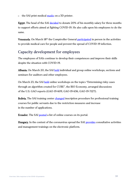o the SAI print medical [masks](https://www.nku.cz/cz/pro-media/tiskove-zpravy/prezident-nku-miloslav-kala:-svet-uz-nebude-stejny--a-az-vse-pomine--bude-chtit-odpovedi-id11121/) on a 3D printer.

Egypt. The head of the SAI [decided](http://asa.gov.eg/Page.aspx?id=5_1056) to donate 20% of his monthly salary for three months to support efforts aimed at fighting COVID-19. He also calls upon his employees to do the same.

Venezuela. On March 18<sup>th</sup> the Comptroller General [participated](https://twitter.com/CGRVenezuela/status/1240330279362924546?s=20) in person in the activities to provide medical care for people and prevent the spread of COVID-19 infection.

## <span id="page-17-0"></span>Capacity development for employees

The employees of SAIs continue to develop their competences and improve their skills despite the situation with COVID-19.

Albania. On March 20, the SAI [held](http://www.klsh.org.al/web/Mesazh_i_Kryetarit_te_Kontrollit_te_Larte_te_Shtetit_4447_1-1.php) individual and group online workshops, sections and seminars for auditors and other employees.

On March 23, the SAI [held](http://www.klsh.org.al/web/Platforme_trajnimi_ne_distance_on_line_per_audituesit_e_KLSH_se_4445_1-1.php) online workshops on the topics "Determining risky cases through an algorithm created for CUBE", the BIO Economy, arranged discussions of the U.S. GAO reports (GAO-19-609, GAO-19-636, GAO-19-712T).

Bolivia. The SAI training center [changed](https://twitter.com/Contraloriabo/status/1247188200449245188?s=20) inscription procedure for professional training courses for public servants due to the restriction measures and increase in the number of applications.

Ecuador. The SAI [posted](https://www.contraloria.gob.ec/Portal/Campañas/Capacitaciones2020) a list of online courses on its portal.

Hungary. In the context of the coronavirus spread the SAI [provides](https://asz.hu/hu/sajtokozlemenyek/elektronikus-platformon-tart-szeminariumot-az-asz) consultative activities and management trainings on the electronic platform.